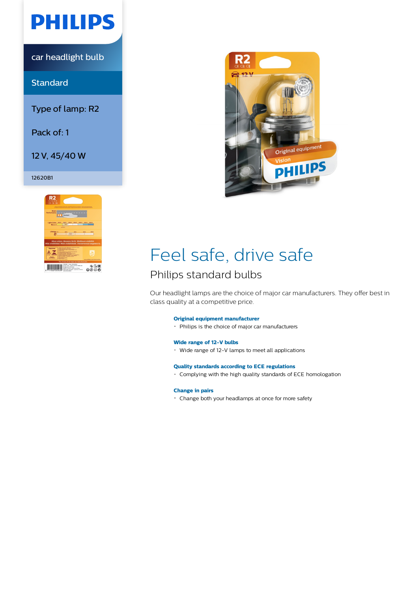

car headlight bulb

**Standard** 

Type of lamp: R2

Pack of: 1

12 V, 45/40 W

### 12620B1





# Feel safe, drive safe

## Philips standard bulbs

Our headlight lamps are the choice of major car manufacturers. They offer best in class quality at a competitive price.

### **Original equipment manufacturer**

Philips is the choice of major car manufacturers

#### **Wide range of 12-V bulbs**

Wide range of 12-V lamps to meet all applications

#### **Quality standards according to ECE regulations**

Complying with the high quality standards of ECE homologation

#### **Change in pairs**

Change both your headlamps at once for more safety